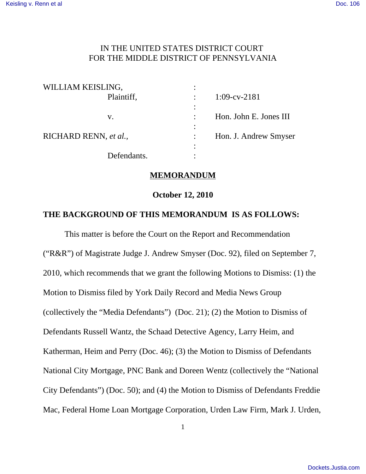# IN THE UNITED STATES DISTRICT COURT FOR THE MIDDLE DISTRICT OF PENNSYLVANIA

| WILLIAM KEISLING,     |                |                        |
|-----------------------|----------------|------------------------|
| Plaintiff,            |                | $1:09$ -cv-2181        |
| V.                    | ٠<br>$\bullet$ | Hon. John E. Jones III |
| RICHARD RENN, et al., | ٠              | Hon. J. Andrew Smyser  |
| Defendants.           | $\bullet$      |                        |

# **MEMORANDUM**

#### **October 12, 2010**

## **THE BACKGROUND OF THIS MEMORANDUM IS AS FOLLOWS:**

This matter is before the Court on the Report and Recommendation ("R&R") of Magistrate Judge J. Andrew Smyser (Doc. 92), filed on September 7, 2010, which recommends that we grant the following Motions to Dismiss: (1) the Motion to Dismiss filed by York Daily Record and Media News Group (collectively the "Media Defendants") (Doc. 21); (2) the Motion to Dismiss of Defendants Russell Wantz, the Schaad Detective Agency, Larry Heim, and Katherman, Heim and Perry (Doc. 46); (3) the Motion to Dismiss of Defendants National City Mortgage, PNC Bank and Doreen Wentz (collectively the "National City Defendants") (Doc. 50); and (4) the Motion to Dismiss of Defendants Freddie Mac, Federal Home Loan Mortgage Corporation, Urden Law Firm, Mark J. Urden,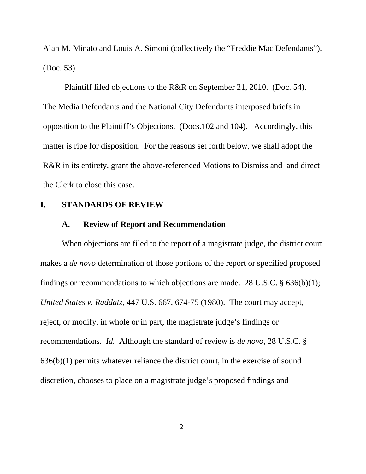Alan M. Minato and Louis A. Simoni (collectively the "Freddie Mac Defendants"). (Doc. 53).

Plaintiff filed objections to the R&R on September 21, 2010. (Doc. 54). The Media Defendants and the National City Defendants interposed briefs in opposition to the Plaintiff's Objections. (Docs.102 and 104). Accordingly, this matter is ripe for disposition. For the reasons set forth below, we shall adopt the R&R in its entirety, grant the above-referenced Motions to Dismiss and and direct the Clerk to close this case.

#### **I. STANDARDS OF REVIEW**

## **A. Review of Report and Recommendation**

When objections are filed to the report of a magistrate judge, the district court makes a *de novo* determination of those portions of the report or specified proposed findings or recommendations to which objections are made. 28 U.S.C.  $\S$  636(b)(1); *United States v. Raddatz*, 447 U.S. 667, 674-75 (1980). The court may accept, reject, or modify, in whole or in part, the magistrate judge's findings or recommendations. *Id.* Although the standard of review is *de novo*, 28 U.S.C. § 636(b)(1) permits whatever reliance the district court, in the exercise of sound discretion, chooses to place on a magistrate judge's proposed findings and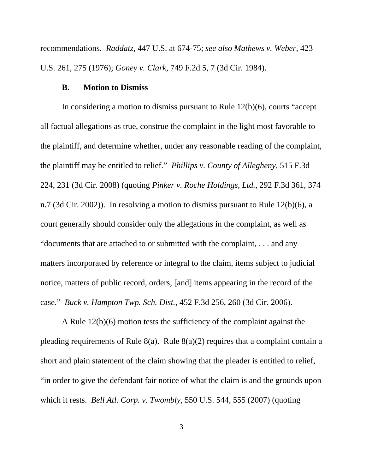recommendations. *Raddatz*, 447 U.S. at 674-75; *see also Mathews v. Weber*, 423 U.S. 261, 275 (1976); *Goney v. Clark*, 749 F.2d 5, 7 (3d Cir. 1984).

#### **B. Motion to Dismiss**

In considering a motion to dismiss pursuant to Rule 12(b)(6), courts "accept all factual allegations as true, construe the complaint in the light most favorable to the plaintiff, and determine whether, under any reasonable reading of the complaint, the plaintiff may be entitled to relief." *Phillips v. County of Allegheny*, 515 F.3d 224, 231 (3d Cir. 2008) (quoting *Pinker v. Roche Holdings, Ltd.*, 292 F.3d 361, 374 n.7 (3d Cir. 2002)). In resolving a motion to dismiss pursuant to Rule 12(b)(6), a court generally should consider only the allegations in the complaint, as well as "documents that are attached to or submitted with the complaint, . . . and any matters incorporated by reference or integral to the claim, items subject to judicial notice, matters of public record, orders, [and] items appearing in the record of the case." *Buck v. Hampton Twp. Sch. Dist.*, 452 F.3d 256, 260 (3d Cir. 2006).

A Rule 12(b)(6) motion tests the sufficiency of the complaint against the pleading requirements of Rule 8(a). Rule 8(a)(2) requires that a complaint contain a short and plain statement of the claim showing that the pleader is entitled to relief, "in order to give the defendant fair notice of what the claim is and the grounds upon which it rests. *Bell Atl. Corp. v. Twombly*, 550 U.S. 544, 555 (2007) (quoting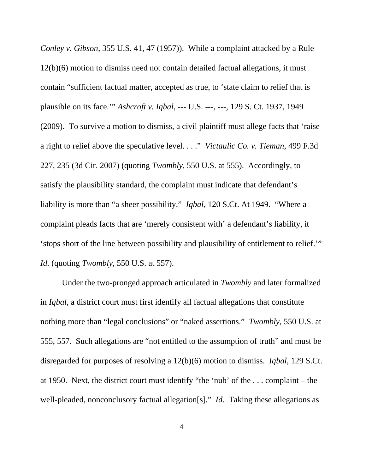*Conley v. Gibson*, 355 U.S. 41, 47 (1957)). While a complaint attacked by a Rule 12(b)(6) motion to dismiss need not contain detailed factual allegations, it must contain "sufficient factual matter, accepted as true, to 'state claim to relief that is plausible on its face.'" *Ashcroft v. Iqbal*, --- U.S. ---, ---, 129 S. Ct. 1937, 1949 (2009). To survive a motion to dismiss, a civil plaintiff must allege facts that 'raise a right to relief above the speculative level. . . ." *Victaulic Co. v. Tieman*, 499 F.3d 227, 235 (3d Cir. 2007) (quoting *Twombly*, 550 U.S. at 555). Accordingly, to satisfy the plausibility standard, the complaint must indicate that defendant's liability is more than "a sheer possibility." *Iqbal*, 120 S.Ct. At 1949. "Where a complaint pleads facts that are 'merely consistent with' a defendant's liability, it 'stops short of the line between possibility and plausibility of entitlement to relief.'" *Id.* (quoting *Twombly*, 550 U.S. at 557).

Under the two-pronged approach articulated in *Twombly* and later formalized in *Iqbal*, a district court must first identify all factual allegations that constitute nothing more than "legal conclusions" or "naked assertions." *Twombly*, 550 U.S. at 555, 557. Such allegations are "not entitled to the assumption of truth" and must be disregarded for purposes of resolving a 12(b)(6) motion to dismiss. *Iqbal*, 129 S.Ct. at 1950. Next, the district court must identify "the 'nub' of the . . . complaint – the well-pleaded, nonconclusory factual allegation[s]." *Id.* Taking these allegations as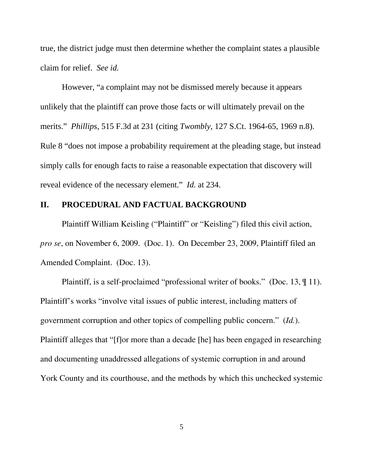true, the district judge must then determine whether the complaint states a plausible claim for relief. *See id.*

However, "a complaint may not be dismissed merely because it appears unlikely that the plaintiff can prove those facts or will ultimately prevail on the merits." *Phillips*, 515 F.3d at 231 (citing *Twombly*, 127 S.Ct. 1964-65, 1969 n.8). Rule 8 "does not impose a probability requirement at the pleading stage, but instead simply calls for enough facts to raise a reasonable expectation that discovery will reveal evidence of the necessary element." *Id.* at 234.

## **II. PROCEDURAL AND FACTUAL BACKGROUND**

Plaintiff William Keisling ("Plaintiff" or "Keisling") filed this civil action, *pro se*, on November 6, 2009. (Doc. 1). On December 23, 2009, Plaintiff filed an Amended Complaint. (Doc. 13).

Plaintiff, is a self-proclaimed "professional writer of books." (Doc. 13, ¶ 11). Plaintiff's works "involve vital issues of public interest, including matters of government corruption and other topics of compelling public concern." (*Id.*). Plaintiff alleges that "[f]or more than a decade [he] has been engaged in researching and documenting unaddressed allegations of systemic corruption in and around York County and its courthouse, and the methods by which this unchecked systemic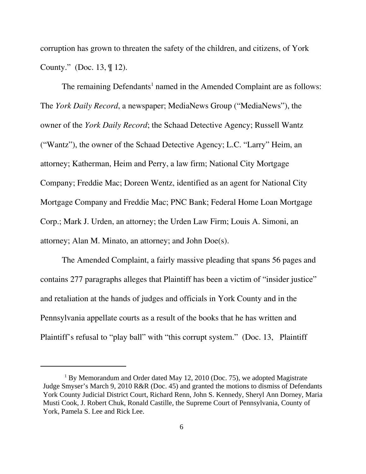corruption has grown to threaten the safety of the children, and citizens, of York County." (Doc. 13, ¶ 12).

The remaining Defendants<sup>1</sup> named in the Amended Complaint are as follows: The *York Daily Record*, a newspaper; MediaNews Group ("MediaNews"), the owner of the *York Daily Record*; the Schaad Detective Agency; Russell Wantz ("Wantz"), the owner of the Schaad Detective Agency; L.C. "Larry" Heim, an attorney; Katherman, Heim and Perry, a law firm; National City Mortgage Company; Freddie Mac; Doreen Wentz, identified as an agent for National City Mortgage Company and Freddie Mac; PNC Bank; Federal Home Loan Mortgage Corp.; Mark J. Urden, an attorney; the Urden Law Firm; Louis A. Simoni, an attorney; Alan M. Minato, an attorney; and John Doe(s).

The Amended Complaint, a fairly massive pleading that spans 56 pages and contains 277 paragraphs alleges that Plaintiff has been a victim of "insider justice" and retaliation at the hands of judges and officials in York County and in the Pennsylvania appellate courts as a result of the books that he has written and Plaintiff's refusal to "play ball" with "this corrupt system." (Doc. 13, Plaintiff

<sup>&</sup>lt;sup>1</sup> By Memorandum and Order dated May 12, 2010 (Doc. 75), we adopted Magistrate Judge Smyser's March 9, 2010 R&R (Doc. 45) and granted the motions to dismiss of Defendants York County Judicial District Court, Richard Renn, John S. Kennedy, Sheryl Ann Dorney, Maria Musti Cook, J. Robert Chuk, Ronald Castille, the Supreme Court of Pennsylvania, County of York, Pamela S. Lee and Rick Lee.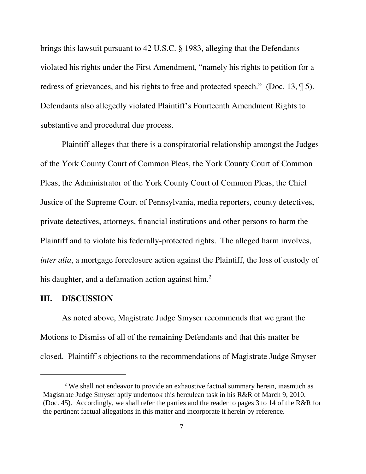brings this lawsuit pursuant to 42 U.S.C. § 1983, alleging that the Defendants violated his rights under the First Amendment, "namely his rights to petition for a redress of grievances, and his rights to free and protected speech." (Doc. 13, ¶ 5). Defendants also allegedly violated Plaintiff's Fourteenth Amendment Rights to substantive and procedural due process.

Plaintiff alleges that there is a conspiratorial relationship amongst the Judges of the York County Court of Common Pleas, the York County Court of Common Pleas, the Administrator of the York County Court of Common Pleas, the Chief Justice of the Supreme Court of Pennsylvania, media reporters, county detectives, private detectives, attorneys, financial institutions and other persons to harm the Plaintiff and to violate his federally-protected rights. The alleged harm involves, *inter alia*, a mortgage foreclosure action against the Plaintiff, the loss of custody of his daughter, and a defamation action against him. $<sup>2</sup>$ </sup>

### **III. DISCUSSION**

As noted above, Magistrate Judge Smyser recommends that we grant the Motions to Dismiss of all of the remaining Defendants and that this matter be closed. Plaintiff's objections to the recommendations of Magistrate Judge Smyser

 $2$  We shall not endeavor to provide an exhaustive factual summary herein, inasmuch as Magistrate Judge Smyser aptly undertook this herculean task in his R&R of March 9, 2010. (Doc. 45). Accordingly, we shall refer the parties and the reader to pages 3 to 14 of the R&R for the pertinent factual allegations in this matter and incorporate it herein by reference.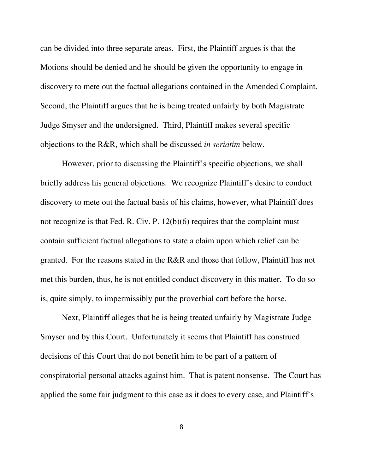can be divided into three separate areas. First, the Plaintiff argues is that the Motions should be denied and he should be given the opportunity to engage in discovery to mete out the factual allegations contained in the Amended Complaint. Second, the Plaintiff argues that he is being treated unfairly by both Magistrate Judge Smyser and the undersigned. Third, Plaintiff makes several specific objections to the R&R, which shall be discussed *in seriatim* below.

However, prior to discussing the Plaintiff's specific objections, we shall briefly address his general objections. We recognize Plaintiff's desire to conduct discovery to mete out the factual basis of his claims, however, what Plaintiff does not recognize is that Fed. R. Civ. P. 12(b)(6) requires that the complaint must contain sufficient factual allegations to state a claim upon which relief can be granted. For the reasons stated in the R&R and those that follow, Plaintiff has not met this burden, thus, he is not entitled conduct discovery in this matter. To do so is, quite simply, to impermissibly put the proverbial cart before the horse.

Next, Plaintiff alleges that he is being treated unfairly by Magistrate Judge Smyser and by this Court. Unfortunately it seems that Plaintiff has construed decisions of this Court that do not benefit him to be part of a pattern of conspiratorial personal attacks against him. That is patent nonsense. The Court has applied the same fair judgment to this case as it does to every case, and Plaintiff's

8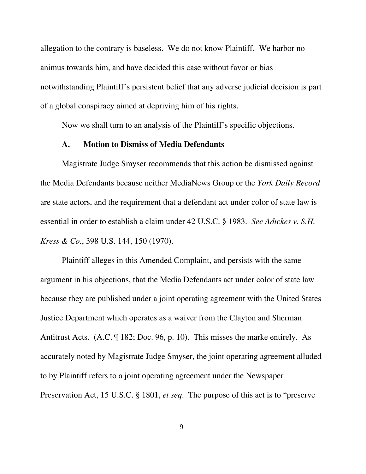allegation to the contrary is baseless.We do not know Plaintiff. We harbor no animus towards him, and have decided this case without favor or bias notwithstanding Plaintiff's persistent belief that any adverse judicial decision is part of a global conspiracy aimed at depriving him of his rights.

Now we shall turn to an analysis of the Plaintiff's specific objections.

#### **A. Motion to Dismiss of Media Defendants**

Magistrate Judge Smyser recommends that this action be dismissed against the Media Defendants because neither MediaNews Group or the *York Daily Record* are state actors, and the requirement that a defendant act under color of state law is essential in order to establish a claim under 42 U.S.C. § 1983. *See Adickes v. S.H. Kress & Co.*, 398 U.S. 144, 150 (1970).

Plaintiff alleges in this Amended Complaint, and persists with the same argument in his objections, that the Media Defendants act under color of state law because they are published under a joint operating agreement with the United States Justice Department which operates as a waiver from the Clayton and Sherman Antitrust Acts. (A.C. ¶ 182; Doc. 96, p. 10). This misses the marke entirely. As accurately noted by Magistrate Judge Smyser, the joint operating agreement alluded to by Plaintiff refers to a joint operating agreement under the Newspaper Preservation Act, 15 U.S.C. § 1801, *et seq*. The purpose of this act is to "preserve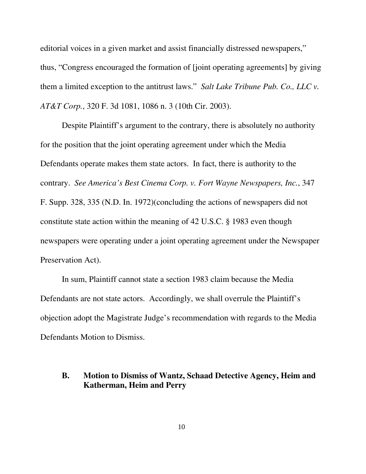editorial voices in a given market and assist financially distressed newspapers," thus, "Congress encouraged the formation of [joint operating agreements] by giving them a limited exception to the antitrust laws." *Salt Lake Tribune Pub. Co., LLC v. AT&T Corp.*, 320 F. 3d 1081, 1086 n. 3 (10th Cir. 2003).

Despite Plaintiff's argument to the contrary, there is absolutely no authority for the position that the joint operating agreement under which the Media Defendants operate makes them state actors. In fact, there is authority to the contrary. *See America's Best Cinema Corp. v. Fort Wayne Newspapers, Inc.*, 347 F. Supp. 328, 335 (N.D. In. 1972)(concluding the actions of newspapers did not constitute state action within the meaning of 42 U.S.C. § 1983 even though newspapers were operating under a joint operating agreement under the Newspaper Preservation Act).

In sum, Plaintiff cannot state a section 1983 claim because the Media Defendants are not state actors. Accordingly, we shall overrule the Plaintiff's objection adopt the Magistrate Judge's recommendation with regards to the Media Defendants Motion to Dismiss.

# **B. Motion to Dismiss of Wantz, Schaad Detective Agency, Heim and Katherman, Heim and Perry**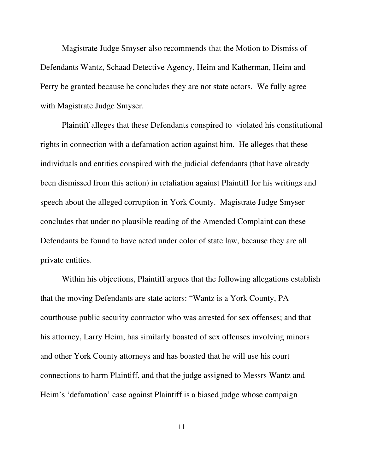Magistrate Judge Smyser also recommends that the Motion to Dismiss of Defendants Wantz, Schaad Detective Agency, Heim and Katherman, Heim and Perry be granted because he concludes they are not state actors. We fully agree with Magistrate Judge Smyser.

Plaintiff alleges that these Defendants conspired to violated his constitutional rights in connection with a defamation action against him. He alleges that these individuals and entities conspired with the judicial defendants (that have already been dismissed from this action) in retaliation against Plaintiff for his writings and speech about the alleged corruption in York County. Magistrate Judge Smyser concludes that under no plausible reading of the Amended Complaint can these Defendants be found to have acted under color of state law, because they are all private entities.

Within his objections, Plaintiff argues that the following allegations establish that the moving Defendants are state actors: "Wantz is a York County, PA courthouse public security contractor who was arrested for sex offenses; and that his attorney, Larry Heim, has similarly boasted of sex offenses involving minors and other York County attorneys and has boasted that he will use his court connections to harm Plaintiff, and that the judge assigned to Messrs Wantz and Heim's 'defamation' case against Plaintiff is a biased judge whose campaign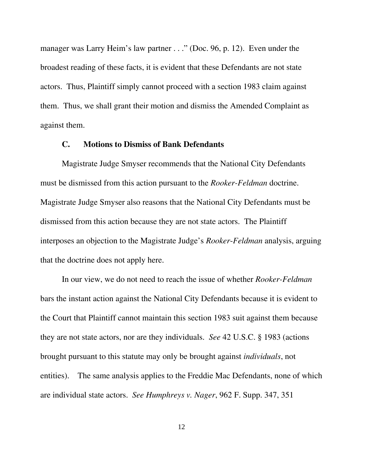manager was Larry Heim's law partner . . ." (Doc. 96, p. 12). Even under the broadest reading of these facts, it is evident that these Defendants are not state actors. Thus, Plaintiff simply cannot proceed with a section 1983 claim against them. Thus, we shall grant their motion and dismiss the Amended Complaint as against them.

# **C. Motions to Dismiss of Bank Defendants**

Magistrate Judge Smyser recommends that the National City Defendants must be dismissed from this action pursuant to the *Rooker-Feldman* doctrine. Magistrate Judge Smyser also reasons that the National City Defendants must be dismissed from this action because they are not state actors. The Plaintiff interposes an objection to the Magistrate Judge's *Rooker*-*Feldman* analysis, arguing that the doctrine does not apply here.

In our view, we do not need to reach the issue of whether *Rooker-Feldman* bars the instant action against the National City Defendants because it is evident to the Court that Plaintiff cannot maintain this section 1983 suit against them because they are not state actors, nor are they individuals. *See* 42 U.S.C. § 1983 (actions brought pursuant to this statute may only be brought against *individuals*, not entities). The same analysis applies to the Freddie Mac Defendants, none of which are individual state actors. *See Humphreys v. Nager*, 962 F. Supp. 347, 351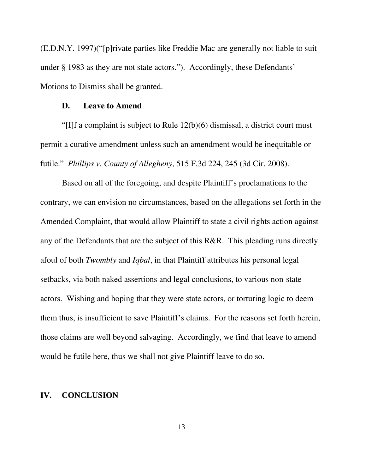(E.D.N.Y. 1997)("[p]rivate parties like Freddie Mac are generally not liable to suit under § 1983 as they are not state actors."). Accordingly, these Defendants' Motions to Dismiss shall be granted.

### **D. Leave to Amend**

"[I]f a complaint is subject to Rule 12(b)(6) dismissal, a district court must permit a curative amendment unless such an amendment would be inequitable or futile." *Phillips v. County of Allegheny*, 515 F.3d 224, 245 (3d Cir. 2008).

Based on all of the foregoing, and despite Plaintiff's proclamations to the contrary, we can envision no circumstances, based on the allegations set forth in the Amended Complaint, that would allow Plaintiff to state a civil rights action against any of the Defendants that are the subject of this R&R. This pleading runs directly afoul of both *Twombly* and *Iqbal*, in that Plaintiff attributes his personal legal setbacks, via both naked assertions and legal conclusions, to various non-state actors. Wishing and hoping that they were state actors, or torturing logic to deem them thus, is insufficient to save Plaintiff's claims. For the reasons set forth herein, those claims are well beyond salvaging. Accordingly, we find that leave to amend would be futile here, thus we shall not give Plaintiff leave to do so.

# **IV. CONCLUSION**